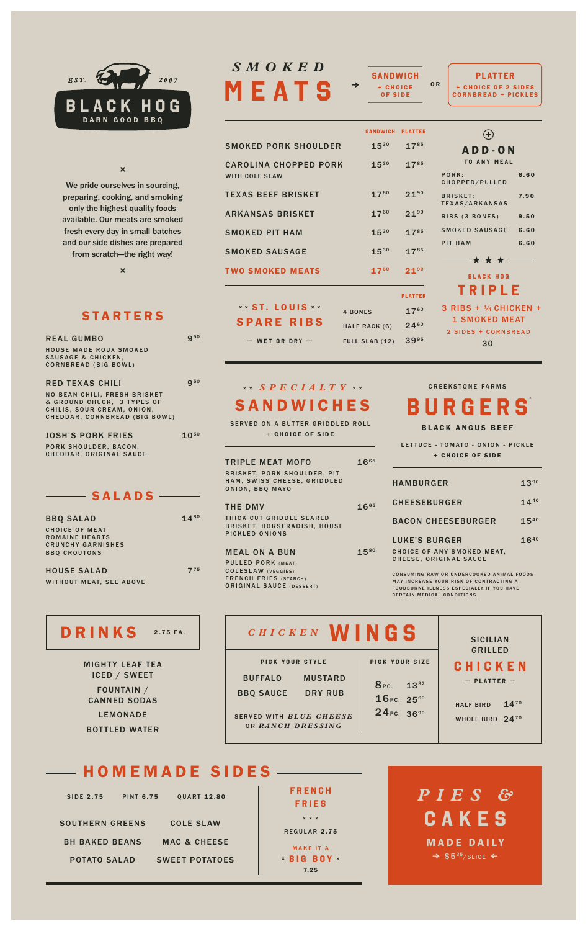

#### **×**

We pride ourselves in sourcing, preparing, cooking, and smoking only the highest quality foods available. Our meats are smoked fresh every day in small batches and our side dishes are prepared from scratch—the right way!

**×**

#### **STARTERS**

| <b>REAL GUMBO</b>                                                                                                                                          | $9^{50}$   |
|------------------------------------------------------------------------------------------------------------------------------------------------------------|------------|
| <b>HOUSE MADE ROUX SMOKED</b><br><b>SAUSAGE &amp; CHICKEN,</b><br><b>CORNBREAD (BIG BOWL)</b>                                                              |            |
| <b>RED TEXAS CHILI</b><br><b>NO BEAN CHILI, FRESH BRISKET</b><br>& GROUND CHUCK. 3 TYPES OF<br>CHILIS, SOUR CREAM, ONION,<br>CHEDDAR, CORNBREAD (BIG BOWL) | <b>950</b> |
| <b>JOSH'S PORK FRIES</b><br>PORK SHOULDER, BACON,<br>CHEDDAR, ORIGINAL SAUCE                                                                               | $10^{50}$  |
| $\blacksquare$ SALADS $\blacksquare$                                                                                                                       |            |
| <b>BBQ SALAD</b><br><b>CHOICE OF MEAT</b><br><b>ROMAINE HEARTS</b><br><b>CRUNCHY GARNISHES</b><br><b>BBQ CROUTONS</b>                                      | $14^{80}$  |
| <b>HOUSE SALAD</b>                                                                                                                                         | $7^{75}$   |

WITHOUT MEAT, SEE ABOVE

# DRI

MIG ICED / SWEET FOUNTAIN / CA LEMONADE B<sub>O</sub>

# **MEATS** *SMOKED*

| SMOKED PORK SHOULDER                                  | $15^{30}$      | $17^{85}$      |
|-------------------------------------------------------|----------------|----------------|
| <b>CAROLINA CHOPPED PORK</b><br><b>WITH COLE SLAW</b> | $15^{30}$      | $17^{85}$      |
| <b>TEXAS BEEF BRISKET</b>                             | $17^{60}$      | $21^{90}$      |
| <b>ARKANSAS BRISKET</b>                               | $17^{60}$      | $21^{90}$      |
| <b>SMOKED PIT HAM</b>                                 | $15^{30}$      | 1785           |
| <b>SMOKED SAUSAGE</b>                                 | $15^{30}$      | 1785           |
| <b>TWO SMOKED MEATS</b>                               | $17^{60}$      | $21^{90}$      |
|                                                       |                | <b>PLATTER</b> |
| <b>** ST. LOUIS **</b>                                | <b>4 BONES</b> | $17^{60}$      |
| <b>SPARE RIBS</b>                                     | HALF RACK (6)  | $24^{60}$      |
| $-$ WET OR DRY $-$                                    | FULL SLAB (12) | $39^{95}$      |

 $\rightarrow$  + CHOICE OR **SANDWICH PLATTER SANDWICH** OF SIDE

**PLATTER** + CHOICE OF 2 SIDES CORNBREAD + PICKLES

| <b>TER</b> |                                             |      |
|------------|---------------------------------------------|------|
| 85         | A D D - 0 N                                 |      |
| 85         | <b>TO ANY MEAL</b>                          |      |
|            | PORK:<br>CHOPPED/PULLED                     | 6.60 |
| 90         | <b>BRISKET:</b><br>TEXAS/ARKANSAS           | 7.90 |
| 90         | RIBS (3 BONES)                              | 9.50 |
| 85         | SMOKED SAUSAGE 6.60                         |      |
| 85         | <b>PIT HAM</b>                              | 6.60 |
| 90         | — ★ ★ ★ —<br><b>BLACK HOG</b>               |      |
| ER         | TRIPLE                                      |      |
| 60         | $3$ RIBS + $\frac{1}{4}$ CHICKEN +          |      |
| 60         | <b>1 SMOKED MEAT</b><br>2 SIDES + CORNBREAD |      |
|            |                                             |      |

30 2 SIDES + CORNBREAD

### **SANDWICHES × ×** *SPECIALTY* **× ×**

SERVED ON A BUTTER GRIDDLED ROLL + CHOICE OF SIDE

TRIPLE MEAT MOFO BRISKET, PORK SHOULDER, PIT HAM, SWISS CHEESE, GRIDDLED ONION, BBQ MAYO 1665

THE DMV THICK CUT GRIDDLE SEARED BRISKET, HORSERADISH, HOUSE PICKLED ONIONS

MEAL ON A BUN PULLED PORK (MEAT) COLESLAW (VEGGIES) FRENCH FRIES (STARCH) ORIGINAL SAUCE (DESSERT)

#### CREEKSTONE FARMS

**BURGERS \***

BLACK ANGUS BEEF

LETTUCE - TOMATO - ONION - PICKLE + CHOICE OF SIDE

| <b>HAMBURGER</b>                                                      | $13^{90}$ |
|-----------------------------------------------------------------------|-----------|
| <b>CHEESEBURGER</b>                                                   | $14^{40}$ |
| <b>BACON CHEESEBURGER</b>                                             | $15^{40}$ |
| LUKE'S BURGER<br>CHOICE OF ANY SMOKED MEAT,<br>CHEESE, ORIGINAL SAUCE | $16^{40}$ |

CONSUMING RAW OR UNDERCOOKED ANIMAL FOODS<br>MAY INCREASE YOUR RISK OF CONTRACTING A<br>FOODBORNE ILLNESS ESPECIALLY IF YOU HAVE CERTAIN MEDICAL CONDITIONS.

| <b>NKS</b><br>2.75 EA.          | CHICKEN <b>WINGS</b>               |                                   | <b>SICILIAN</b><br><b>GRILLED</b> |
|---------------------------------|------------------------------------|-----------------------------------|-----------------------------------|
| <b>SHTY LEAF TEA</b>            | PICK YOUR STYLE                    | PICK YOUR SIZE                    | CHICKEN                           |
| <b>CED / SWEET</b>              | <b>BUFFALO</b><br><b>MUSTARD</b>   | 8 <sub>PC.</sub> 13 <sup>32</sup> | $-$ PLATTER $-$                   |
| FOUNTAIN /<br><b>NNED SODAS</b> | <b>BBQ SAUCE</b><br><b>DRY RUB</b> | 16Pc. 2560                        | $14^{70}$<br><b>HALF BIRD</b>     |
| <b>LEMONADE</b>                 | SERVED WITH BLUE CHEESE            | 24 PC. 3690                       | WHOLE BIRD 2470                   |
| <b>TTLED WATER</b>              | OR RANCH DRESSING                  |                                   |                                   |

## $=\,$  HOMEMADE SIDES  $=\,$

| <b>SIDE 2.75</b>       | <b>PINT 6.75</b> |
|------------------------|------------------|
| <b>SOUTHERN GREENS</b> |                  |
| <b>BH BAKED BEANS</b>  |                  |
| <b>POTATO SALAD</b>    |                  |

COLE SLAW MAC & CHEESE SWEET POTATOES

QUART 12.80

**× × ×** REGULAR 2.75 **FRENCH FRIES** MAKE IT A

**× × BIG BOY** 7.25

**CAKES** *P I E S &* \$535/SLICE **≥ ≤** MADE DAILY

1665

1580